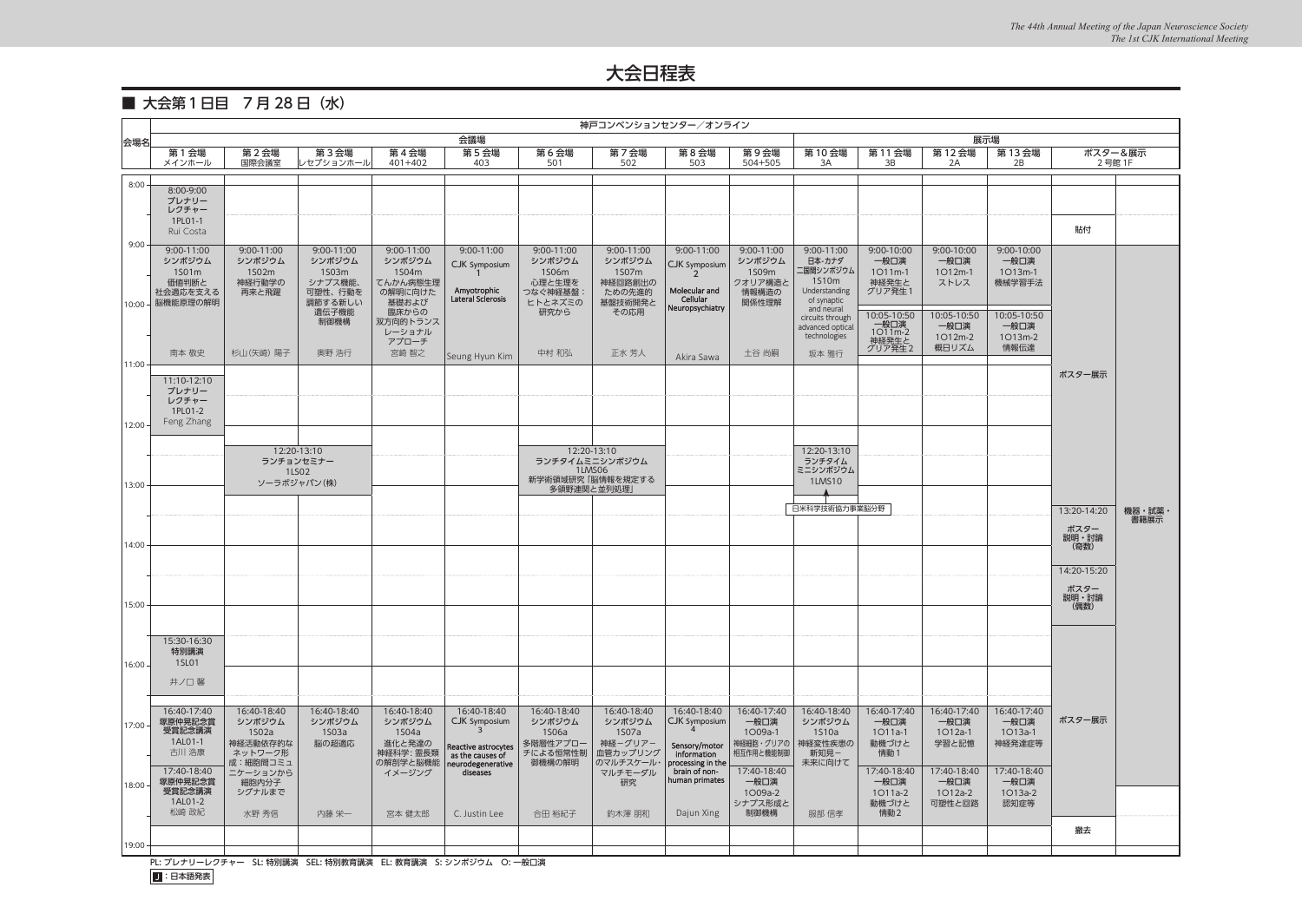■ 大会第1日目 7月28日 (水)

|           | 神戸コンベンションセンター/オンライン   |                      |                    |                     |                                         |                      |                          |                                    |                        |                                  |                  |                   |                   |               |         |
|-----------|-----------------------|----------------------|--------------------|---------------------|-----------------------------------------|----------------------|--------------------------|------------------------------------|------------------------|----------------------------------|------------------|-------------------|-------------------|---------------|---------|
| 会場名       |                       |                      |                    |                     | 会議場                                     |                      |                          |                                    |                        |                                  |                  |                   | 展示場               |               |         |
|           | 第 1 会場<br>メインホール      | 第2会場<br>国際会議室        | 第3会場<br>レセプションホール  | 第4会場<br>$401 + 402$ | 第5会場<br>403                             | 第6会場<br>501          | 第7会場<br>502              | 第8会場<br>503                        | 第9会場<br>504+505        | 第10会場<br>3A                      | 第11会場<br>3B      | 第 12 会場<br>2A     | 第 13 会場<br>2B     | 2号館 1F        | ポスター&展示 |
|           |                       |                      |                    |                     |                                         |                      |                          |                                    |                        |                                  |                  |                   |                   |               |         |
| 8:00      | 8:00-9:00             |                      |                    |                     |                                         |                      |                          |                                    |                        |                                  |                  |                   |                   |               |         |
|           | プレナリー<br>レクチャー        |                      |                    |                     |                                         |                      |                          |                                    |                        |                                  |                  |                   |                   |               |         |
|           | 1PL01-1<br>Rui Costa  |                      |                    |                     |                                         |                      |                          |                                    |                        |                                  |                  |                   |                   | 貼付            |         |
| 9:00      | 9:00-11:00            | 9:00-11:00           | $9:00-11:00$       | 9:00-11:00          | 9:00-11:00                              | 9:00-11:00           | 9:00-11:00               | 9:00-11:00                         | 9:00-11:00             | 9:00-11:00                       | 9:00-10:00       | 9:00-10:00        | 9:00-10:00        |               |         |
|           | シンポジウム                | シンポジウム               | シンポジウム             | シンポジウム              | CJK Symposium                           | シンポジウム               | シンポジウム                   | CJK Symposium                      | シンポジウム                 | 日本-カナダ                           | 一般口演             | 一般口演              | 一般口演              |               |         |
|           | 1S01m<br>価値判断と        | 1S02m<br>神経行動学の      | 1S03m<br>シナプス機能、   | 1S04m<br>てんかん病態生理   |                                         | 1S06m<br>心理と生理を      | 1S07m<br>神経回路創出の         |                                    | 1S09m<br>クオリア構造と       | 二国間シンポジウム<br>1510m               | 1O11m-1<br>神経発生と | 1O12m-1<br>ストレス   | 1O13m-1<br>機械学習手法 |               |         |
|           | 社会適応を支える<br>脳機能原理の解明  | 再来と飛躍                | 可塑性、行動を<br>調節する新しい | の解明に向けた<br>基礎および    | Amyotrophic<br>Lateral Scierosis        | つなぐ神経基盤:<br>ヒトとネズミの  | ための先進的<br>基盤技術開発と        | Molecular and<br>Cellular          | 情報構造の<br>関係性理解         | Understanding<br>of synaptic     | グリア発生1           |                   |                   |               |         |
| 10:00     |                       |                      | 遺伝子機能              | 臨床からの               |                                         | 研究から                 | その応用                     | Neuropsychiatry                    |                        | and neural<br>circuits through   | 10:05-10:50      | 10:05-10:50       | 10:05-10:50       |               |         |
|           |                       |                      | 制御機構               | 双方向的トランス<br>レーショナル  |                                         |                      |                          |                                    |                        | advanced optical<br>technologies | 一般口演<br>1O11m-2  | 一般口演<br>1O12m-2   | 一般口演<br>1O13m-2   |               |         |
|           | 南本 敬史                 | 杉山(矢崎) 陽子            | 奥野 浩行              | アプローチ<br>宮崎 智之      |                                         | 中村 和弘                | 正水 芳人                    |                                    | 土谷 尚嗣                  | 坂本 雅行                            | 神経発生と<br>グリア発生2  | 概日リズム             | 情報伝達              |               |         |
| 11:00     |                       |                      |                    |                     | Seung Hyun Kim                          |                      |                          | Akira Sawa                         |                        |                                  |                  |                   |                   |               |         |
|           | 11:10-12:10           |                      |                    |                     |                                         |                      |                          |                                    |                        |                                  |                  |                   |                   | ポスター展示        |         |
|           | プレナリー<br>レクチャー        |                      |                    |                     |                                         |                      |                          |                                    |                        |                                  |                  |                   |                   |               |         |
|           | 1PL01-2<br>Feng Zhang |                      |                    |                     |                                         |                      |                          |                                    |                        |                                  |                  |                   |                   |               |         |
| $12:00 -$ |                       |                      |                    |                     |                                         |                      |                          |                                    |                        |                                  |                  |                   |                   |               |         |
|           |                       |                      | 12:20-13:10        |                     |                                         |                      | 12:20-13:10              |                                    |                        | 12:20-13:10                      |                  |                   |                   |               |         |
|           |                       | ランチョンセミナー            | 1LS02              |                     |                                         |                      | ランチタイムミニシンポジウム<br>1LMS06 |                                    |                        | ランチタイム<br>ミニシンポジウム               |                  |                   |                   |               |         |
| 13:00     |                       | ソーラボジャパン(株)          |                    |                     |                                         | 多領野連関と並列処理,          | 新学術領域研究「脳情報を規定する         |                                    |                        | <b>1LMS10</b>                    |                  |                   |                   |               |         |
|           |                       |                      |                    |                     |                                         |                      |                          |                                    |                        | 日米科学技術協力事業脳分野                    |                  |                   |                   | 13:20-14:20   | 機器・試薬・  |
|           |                       |                      |                    |                     |                                         |                      |                          |                                    |                        |                                  |                  |                   |                   | ポスター          | 書籍展示    |
| 14:00     |                       |                      |                    |                     |                                         |                      |                          |                                    |                        |                                  |                  |                   |                   | 説明・討論<br>(奇数) |         |
|           |                       |                      |                    |                     |                                         |                      |                          |                                    |                        |                                  |                  |                   |                   |               |         |
|           |                       |                      |                    |                     |                                         |                      |                          |                                    |                        |                                  |                  |                   |                   | 14:20-15:20   |         |
|           |                       |                      |                    |                     |                                         |                      |                          |                                    |                        |                                  |                  |                   |                   | ポスター<br>説明・討論 |         |
| 15:00     |                       |                      |                    |                     |                                         |                      |                          |                                    |                        |                                  |                  |                   |                   | (偶数)          |         |
|           |                       |                      |                    |                     |                                         |                      |                          |                                    |                        |                                  |                  |                   |                   |               |         |
|           | 15:30-16:30           |                      |                    |                     |                                         |                      |                          |                                    |                        |                                  |                  |                   |                   |               |         |
| $16:00 -$ | 特別講演<br>1SL01         |                      |                    |                     |                                         |                      |                          |                                    |                        |                                  |                  |                   |                   |               |         |
|           | 井ノ口 馨                 |                      |                    |                     |                                         |                      |                          |                                    |                        |                                  |                  |                   |                   |               |         |
|           |                       |                      |                    |                     |                                         |                      |                          |                                    |                        |                                  |                  |                   |                   |               |         |
|           | 16:40-17:40           | 16:40-18:40          | 16:40-18:40        | 16:40-18:40         | 16:40-18:40                             | 16:40-18:40          | 16:40-18:40              | 16:40-18:40                        | 16:40-17:40            | 16:40-18:40                      | 16:40-17:40      | 16:40-17:40       | 16:40-17:40       | ポスター展示        |         |
| 17:00     | 塚原仲晃記念賞<br>受賞記念講演     | シンポジウム<br>1S02a      | シンポジウム<br>1503a    | シンポジウム<br>1S04a     | CJK Symposium<br>$\mathbf{3}$           | シンポジウム<br>1S06a      | シンポジウム<br>1S07a          | CJK Symposium                      | 一般口演<br>1O09a-1        | シンポジウム<br>1S10a                  | 一般口演<br>1011a-1  | 一般口演<br>1O12a-1   | 一般口演<br>1O13a-1   |               |         |
|           | 1AL01-1<br>古川 浩康      | 神経活動依存的な<br>ネットワーク形  | 脳の超適応              | 進化と発達の<br>神経科学: 霊長類 | Reactive astrocytes<br>as the causes of | 多階層性アプロー<br>チによる恒常性制 | 神経ーグリアー<br>血管カップリング      | Sensory/motor<br>information       | 神経細胞・グリアの<br>相互作用と機能制御 | 神経変性疾患の<br>新知見-                  | 動機づけと<br>情動1     | 学習と記憶             | 神経発達症等            |               |         |
|           | 17:40-18:40           | 成:細胞間コミュ<br>ニケーションから |                    | の解剖学と脳機能<br>イメージング  | neurodegenerative<br>diseases           | 御機構の解明               | のマルチスケール・<br>マルチモーダル     | processing in the<br>brain of non- | 17:40-18:40            | 未来に向けて                           | 17:40-18:40      | 17:40-18:40       | 17:40-18:40       |               |         |
| 18:00     | 塚原仲晃記念賞               | 細胞内分子                |                    |                     |                                         |                      | 研究                       | human primates                     | 一般口演                   |                                  | 一般口演             | 一般口演              | 一般口演              |               |         |
|           | 受賞記念講演<br>1AL01-2     | シグナルまで               |                    |                     |                                         |                      |                          |                                    | 1O09a-2<br>シナプス形成と     |                                  | 1011a-2<br>動機づけと | 1O12a-2<br>可塑性と回路 | 1O13a-2<br>認知症等   |               |         |
|           | 松崎 政紀                 | 水野 秀信                | 内藤 栄一              | 宮本 健太郎              | C. Justin Lee                           | 合田 裕紀子               | 釣木澤 朋和                   | Dajun Xing                         | 制御機構                   | 服部 信孝                            | 情動2              |                   |                   |               |         |
|           |                       |                      |                    |                     |                                         |                      |                          |                                    |                        |                                  |                  |                   |                   | 撤去            |         |
| 19:00 -   |                       |                      |                    |                     |                                         |                      |                          |                                    |                        |                                  |                  |                   |                   |               |         |

PL: プレナリーレクチャー SL: 特別講演 SEL: 特別教育講演 EL: 教育講演 S: シンポジウム O: 一般口演

J:日本語発表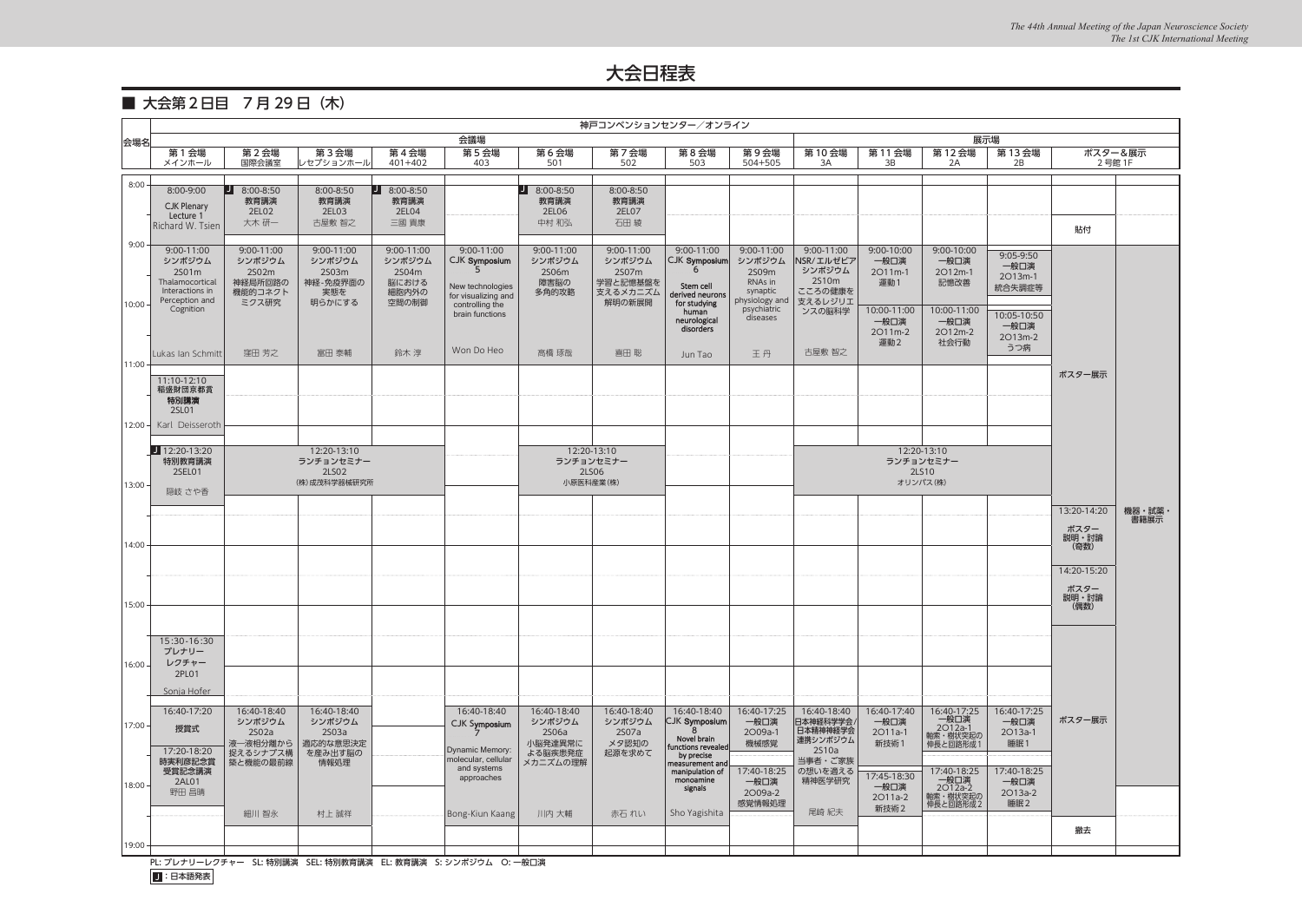### ■ 大会第2日目 7月29日 (木)

|                               | 神戸コンベンションセンター/オンライン                                                                                                                                                                                                                                                                                                                |                                                              |                                                            |                                                          |                                                                                                |                                                |                                                                 |                                                                                  |                                                                        |                                                                  |                                        |                                            |                                        |               |         |
|-------------------------------|------------------------------------------------------------------------------------------------------------------------------------------------------------------------------------------------------------------------------------------------------------------------------------------------------------------------------------|--------------------------------------------------------------|------------------------------------------------------------|----------------------------------------------------------|------------------------------------------------------------------------------------------------|------------------------------------------------|-----------------------------------------------------------------|----------------------------------------------------------------------------------|------------------------------------------------------------------------|------------------------------------------------------------------|----------------------------------------|--------------------------------------------|----------------------------------------|---------------|---------|
| 会場名                           | 会議場<br>展示場                                                                                                                                                                                                                                                                                                                         |                                                              |                                                            |                                                          |                                                                                                |                                                |                                                                 |                                                                                  |                                                                        |                                                                  |                                        |                                            |                                        |               |         |
|                               | 第1会場<br>メインホール                                                                                                                                                                                                                                                                                                                     | 第2会場<br>国際会議室                                                | 第3会場<br>レセプションホール                                          | 第4会場<br>$401 + 402$                                      | 第5会場<br>403                                                                                    | 第6会場<br>501                                    | 第7会場<br>502                                                     | 第8会場<br>503                                                                      | 第9会場<br>504+505                                                        | 第10会場<br>3A                                                      | 第11会場<br>3B                            | 第12会場<br>2A                                | 第 13 会場<br>2B                          | 2号館 1F        | ポスター&展示 |
|                               |                                                                                                                                                                                                                                                                                                                                    |                                                              |                                                            |                                                          |                                                                                                |                                                |                                                                 |                                                                                  |                                                                        |                                                                  |                                        |                                            |                                        |               |         |
| 8:00                          | 8:00-9:00<br><b>CJK Plenary</b><br>Lecture 1<br>Richard W. Tsien                                                                                                                                                                                                                                                                   | IJ<br>8:00-8:50<br>教育講演<br>2EL02<br>大木 研一                    | 8:00-8:50<br>教育講演<br>2EL03<br>古屋敷 智之                       | $18:00-8:50$<br>教育講演<br>2EL04<br>三國 貴康                   |                                                                                                | $J$ 8:00-8:50<br>教育講演<br>2EL06<br>中村 和弘        | 8:00-8:50<br>教育講演<br>2EL07<br>石田綾                               |                                                                                  |                                                                        |                                                                  |                                        |                                            |                                        |               |         |
|                               |                                                                                                                                                                                                                                                                                                                                    |                                                              |                                                            |                                                          |                                                                                                |                                                |                                                                 |                                                                                  |                                                                        |                                                                  |                                        |                                            |                                        | 貼付            |         |
| $9:00 \cdot$<br>$10:00 \cdot$ | 9:00-11:00<br>シンポジウム<br>2S01m<br>Thalamocortical<br>Interactions in<br>Perception and                                                                                                                                                                                                                                              | 9:00-11:00<br>シンポジウム<br>2S02m<br>神経局所回路の<br>機能的コネクト<br>ミクス研究 | 9:00-11:00<br>シンポジウム<br>2S03m<br>神経-免疫界面の<br>実態を<br>明らかにする | 9:00-11:00<br>シンポジウム<br>2S04m<br>脳における<br>細胞内外の<br>空間の制御 | 9:00-11:00<br>CJK Symposium<br>5<br>New technologies<br>for visualizing and<br>controlling the | 9:00-11:00<br>シンポジウム<br>2S06m<br>障害脳の<br>多角的攻略 | 9:00-11:00<br>シンポジウム<br>2S07m<br>学習と記憶基盤を<br>支えるメカニズム<br>解明の新展開 | 9:00-11:00<br>CJK Symposium<br>6<br>Stem cell<br>derived neurons<br>for studying | 9:00-11:00<br>シンポジウム<br>2509m<br>RNAs in<br>synaptic<br>physiology and | 9:00-11:00<br>NSR/エルゼビア<br>シンポジウム<br>2S10m<br>こころの健康を<br>支えるレジリエ | $9:00-10:00$<br>一般口演<br>2011m-1<br>運動1 | 9:00-10:00<br>一般口演<br>2O12m-1<br>記憶改善      | 9:05-9:50<br>一般口演<br>2013m-1<br>統合失調症等 |               |         |
|                               | Cognition                                                                                                                                                                                                                                                                                                                          |                                                              |                                                            |                                                          | brain functions                                                                                |                                                |                                                                 | human<br>neurological<br>disorders                                               | psychiatric<br>diseases                                                | ンスの脳科学                                                           | 10:00-11:00<br>一般口演<br>2011m-2<br>運動2  | 10:00-11:00<br>一般口演<br>2O12m-2<br>社会行動     | 10:05-10:50<br>一般口演<br>2013m-2<br>うつ病  |               |         |
| 11:00                         | Lukas Ian Schmitt                                                                                                                                                                                                                                                                                                                  | 窪田 芳之                                                        | 富田 泰輔                                                      | 鈴木 淳                                                     | Won Do Heo                                                                                     | 高橋 琢哉                                          | 喜田 聡                                                            | Jun Tao                                                                          | 王丹                                                                     | 古屋敷 智之                                                           |                                        |                                            |                                        |               |         |
| 12:00 -                       | 11:10-12:10<br>稲盛財団京都賞<br>特別講演<br>2SL01<br>Karl Deisseroth                                                                                                                                                                                                                                                                         |                                                              |                                                            |                                                          |                                                                                                |                                                |                                                                 |                                                                                  |                                                                        |                                                                  |                                        |                                            |                                        | ポスター展示        |         |
|                               |                                                                                                                                                                                                                                                                                                                                    |                                                              |                                                            |                                                          |                                                                                                |                                                |                                                                 |                                                                                  |                                                                        |                                                                  |                                        |                                            |                                        |               |         |
|                               | $12:20-13:20$<br>特別教育講演                                                                                                                                                                                                                                                                                                            |                                                              | 12:20-13:10<br>ランチョンセミナー                                   |                                                          |                                                                                                |                                                | 12:20-13:10<br>ランチョンセミナー                                        |                                                                                  |                                                                        |                                                                  |                                        | 12:20-13:10                                |                                        |               |         |
|                               | 2SEL01                                                                                                                                                                                                                                                                                                                             |                                                              | 2LS02                                                      |                                                          |                                                                                                |                                                | 2LS06                                                           |                                                                                  |                                                                        | ランチョンセミナー<br>2LS10                                               |                                        |                                            |                                        |               |         |
| $13:00 -$                     | 隠岐 さや香                                                                                                                                                                                                                                                                                                                             |                                                              | (株)成茂科学器械研究所                                               |                                                          |                                                                                                |                                                | 小原医科産業(株)                                                       |                                                                                  |                                                                        |                                                                  |                                        | オリンパス(株)                                   |                                        |               |         |
|                               |                                                                                                                                                                                                                                                                                                                                    |                                                              |                                                            |                                                          |                                                                                                |                                                |                                                                 |                                                                                  |                                                                        |                                                                  |                                        |                                            |                                        | 13:20-14:20   | 機器・試薬・  |
|                               |                                                                                                                                                                                                                                                                                                                                    |                                                              |                                                            |                                                          |                                                                                                |                                                |                                                                 |                                                                                  |                                                                        |                                                                  |                                        |                                            |                                        |               | 書籍展示    |
|                               |                                                                                                                                                                                                                                                                                                                                    |                                                              |                                                            |                                                          |                                                                                                |                                                |                                                                 |                                                                                  |                                                                        |                                                                  |                                        |                                            |                                        | ポスター<br>説明・討論 |         |
| 14:00                         |                                                                                                                                                                                                                                                                                                                                    |                                                              |                                                            |                                                          |                                                                                                |                                                |                                                                 |                                                                                  |                                                                        |                                                                  |                                        |                                            |                                        | (奇数)          |         |
|                               |                                                                                                                                                                                                                                                                                                                                    |                                                              |                                                            |                                                          |                                                                                                |                                                |                                                                 |                                                                                  |                                                                        |                                                                  |                                        |                                            |                                        | 14:20-15:20   |         |
|                               |                                                                                                                                                                                                                                                                                                                                    |                                                              |                                                            |                                                          |                                                                                                |                                                |                                                                 |                                                                                  |                                                                        |                                                                  |                                        |                                            |                                        | ポスター          |         |
| 15:00                         |                                                                                                                                                                                                                                                                                                                                    |                                                              |                                                            |                                                          |                                                                                                |                                                |                                                                 |                                                                                  |                                                                        |                                                                  |                                        |                                            |                                        | 説明・討論<br>(偶数) |         |
|                               |                                                                                                                                                                                                                                                                                                                                    |                                                              |                                                            |                                                          |                                                                                                |                                                |                                                                 |                                                                                  |                                                                        |                                                                  |                                        |                                            |                                        |               |         |
| $16:00 \cdot$                 | 15:30-16:30<br>プレナリー<br>レクチャー<br>2PL01                                                                                                                                                                                                                                                                                             |                                                              |                                                            |                                                          |                                                                                                |                                                |                                                                 |                                                                                  |                                                                        |                                                                  |                                        |                                            |                                        |               |         |
|                               | Sonja Hofer                                                                                                                                                                                                                                                                                                                        |                                                              |                                                            |                                                          |                                                                                                |                                                |                                                                 |                                                                                  |                                                                        |                                                                  |                                        |                                            |                                        |               |         |
| $17:00 -$                     | 16:40-17:20<br>授賞式                                                                                                                                                                                                                                                                                                                 | 16:40-18:40<br>シンポジウム<br>2S02a                               | 16:40-18:40<br>シンポジウム<br>2S03a                             |                                                          | 16:40-18:40<br>CJK Symposium                                                                   | 16:40-18:40<br>シンポジウム<br>2S06a                 | 16:40-18:40<br>シンポジウム<br>2S07a                                  | 16:40-18:40<br>CJK Symposium<br>8<br>Novel brain                                 | 16:40-17:25<br>一般口演<br>2O09a-1                                         | 16:40-18:40<br>日本神経科学学会<br>日本精神神経学会<br> 連携シンポジウム                 | 16:40-17:40<br>一般口演<br>2011a-1         | 16:40-17:25<br>一般口演<br>2O12a-1<br>軸索・樹状突起の | 16:40-17:25<br>一般口演<br>2O13a-1         | ポスター展示        |         |
|                               | 17:20-18:20                                                                                                                                                                                                                                                                                                                        | 液一液相分離から<br>捉えるシナプス構                                         | 適応的な意思決定<br>を産み出す脳の                                        |                                                          | Dynamic Memory:                                                                                | 小脳発達異常に<br>よる脳疾患発症                             | メタ認知の<br>起源を求めて                                                 | functions revealed<br>by precise                                                 | 機械感覚                                                                   | 2S10a                                                            | 新技術1                                   | 伸長と回路形成1                                   | 睡眠1                                    |               |         |
|                               | 時実利彦記念賞<br>受賞記念講演                                                                                                                                                                                                                                                                                                                  | 築と機能の最前線                                                     | 情報処理                                                       |                                                          | molecular, cellular<br>and systems                                                             | メカニズムの理解                                       |                                                                 | measurement and<br>manipulation of                                               | 17:40-18:25                                                            | 当事者・ご家族<br>の想いを適える                                               |                                        | 17:40-18:25                                | 17:40-18:25                            |               |         |
| $18:00 -$                     | 2AL01                                                                                                                                                                                                                                                                                                                              |                                                              |                                                            |                                                          | approaches                                                                                     |                                                |                                                                 | monoamine<br>signals                                                             | 一般口演                                                                   | 精神医学研究                                                           | 17:45-18:30<br>一般口演                    | 一般口演<br>2O12a-2                            | 一般口演                                   |               |         |
|                               | 野田 昌晴                                                                                                                                                                                                                                                                                                                              |                                                              |                                                            |                                                          |                                                                                                |                                                |                                                                 |                                                                                  | 2O09a-2<br>感覚情報処理                                                      |                                                                  | 2011a-2                                | 軸索・樹状突起の<br>伸長と回路形成2                       | 2O13a-2<br>睡眠2                         |               |         |
|                               |                                                                                                                                                                                                                                                                                                                                    | 細川 智永                                                        | 村上 誠祥                                                      |                                                          | Bong-Kiun Kaang                                                                                | 川内 大輔                                          | 赤石 れい                                                           | Sho Yagishita                                                                    |                                                                        | 尾崎 紀夫                                                            | 新技術2                                   |                                            |                                        |               |         |
|                               |                                                                                                                                                                                                                                                                                                                                    |                                                              |                                                            |                                                          |                                                                                                |                                                |                                                                 |                                                                                  |                                                                        |                                                                  |                                        |                                            |                                        | 撤去            |         |
| 19:00                         | $\mathbf{D}$ $\mathbf{D}$ $\mathbf{D}$ $\mathbf{D}$ $\mathbf{D}$ $\mathbf{D}$ $\mathbf{D}$ $\mathbf{D}$ $\mathbf{D}$ $\mathbf{D}$ $\mathbf{D}$ $\mathbf{D}$ $\mathbf{D}$ $\mathbf{D}$ $\mathbf{D}$ $\mathbf{D}$ $\mathbf{D}$ $\mathbf{D}$ $\mathbf{D}$ $\mathbf{D}$ $\mathbf{D}$ $\mathbf{D}$ $\mathbf{D}$ $\mathbf{D}$ $\mathbf{$ |                                                              | CL 4+DIA#30 CEL 4+DIA++++++ PL N-+++++                     |                                                          |                                                                                                | Animals                                        |                                                                 |                                                                                  |                                                                        |                                                                  |                                        |                                            |                                        |               |         |

PL: プレナリーレクチャー SL: 特別講演 SEL: 特別教育講演 EL: 教育講演 S: シンポジウム O: 一般口演

J:日本語発表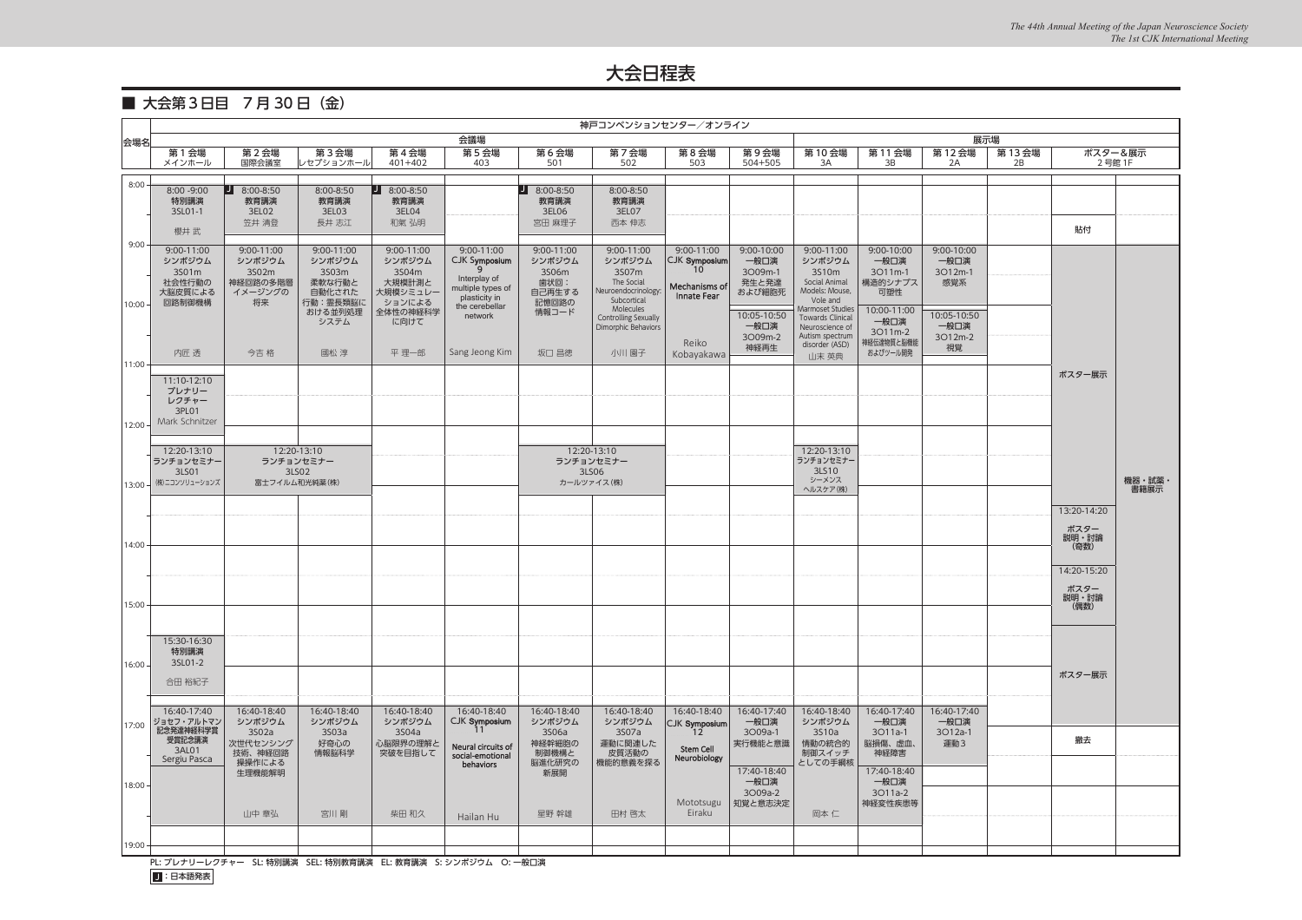### ■ 大会第3日目 7月30日 (金)

|           | 神戸コンベンションセンター/オンライン     |                   |                    |                     |                                   |                 |                                   |                                         |                     |                                             |                        |                 |             |                   |        |
|-----------|-------------------------|-------------------|--------------------|---------------------|-----------------------------------|-----------------|-----------------------------------|-----------------------------------------|---------------------|---------------------------------------------|------------------------|-----------------|-------------|-------------------|--------|
| 会場名       | 会議場                     |                   |                    |                     |                                   |                 | 展示場                               |                                         |                     |                                             |                        |                 |             |                   |        |
|           | 第 1 会場<br>メインホール        | 第2会場<br>国際会議室     | 第3会場<br>レセプションホール  | 第4会場<br>$401 + 402$ | 第5会場<br>403                       | 第6会場<br>501     | 第7会場<br>502                       | 第8会場<br>503                             | 第9会場<br>504+505     | 第10会場<br>3A                                 | 第11会場<br>3B            | 第12会場<br>2A     | 第13会場<br>2B | ポスター&展示<br>2号館 1F |        |
|           |                         |                   |                    |                     |                                   |                 |                                   |                                         |                     |                                             |                        |                 |             |                   |        |
| 8:00      | $8:00 - 9:00$           | 8:00-8:50<br>IJ   | 8:00-8:50          | $J$ 8:00-8:50       |                                   | $J$ 8:00-8:50   | 8:00-8:50                         |                                         |                     |                                             |                        |                 |             |                   |        |
|           | 特別講演<br>3SL01-1         | 教育講演<br>3EL02     | 教育講演               | 教育講演<br>3EL04       |                                   | 教育講演            | 教育講演<br>3EL07                     |                                         |                     |                                             |                        |                 |             |                   |        |
|           |                         | 笠井 清登             | 3EL03<br>長井 志江     | 和氣 弘明               |                                   | 3EL06<br>宮田 麻理子 | 西本 伸志                             |                                         |                     |                                             |                        |                 |             |                   |        |
|           | 櫻井 武                    |                   |                    |                     |                                   |                 |                                   |                                         |                     |                                             |                        |                 |             | 貼付                |        |
| 9:00      | 9:00-11:00              | 9:00-11:00        | 9:00-11:00         | 9:00-11:00          | 9:00-11:00                        | 9:00-11:00      | 9:00-11:00                        | 9:00-11:00                              | 9:00-10:00          | 9:00-11:00                                  | 9:00-10:00             | 9:00-10:00      |             |                   |        |
|           | シンポジウム<br>3501m         | シンポジウム<br>3S02m   | シンポジウム<br>3S03m    | シンポジウム<br>3S04m     | CJK Symposium<br>9                | シンポジウム<br>3S06m | シンポジウム<br>3S07m                   | <b>CJK Symposium</b><br>10 <sup>°</sup> | 一般口演<br>3O09m-1     | シンポジウム<br>3S10m                             | 一般口演<br>3O11m-1        | 一般口演<br>3O12m-1 |             |                   |        |
|           | 社会性行動の                  | 神経回路の多階層          | 柔軟な行動と             | 大規模計測と              | Interplay of<br>multiple types of | 歯状回:            | The Social<br>Neuroendocrinology: | Mechanisms of                           | 発生と発達               | Social Animal<br>Models: Mouse,             | 構造的シナプス                | 感覚系             |             |                   |        |
| $10:00 -$ | 大脳皮質による<br>回路制御機構       | イメージングの<br>将来     | 自動化された<br>行動:霊長類脳に | 大規模シミュレ-<br>ションによる  | plasticity in<br>the cerebellar   | 自己再生する<br>記憶回路の | Subcortical                       | Innate Fear                             | および細胞死              | Vole and                                    | 可塑性                    |                 |             |                   |        |
|           |                         |                   | おける並列処理<br>システム    | 全体性の神経科学<br>に向けて    | network                           | 情報コード           | Molecules<br>Controlling Sexually |                                         | 10:05-10:50         | Marmoset Studies<br><b>Towards Clinical</b> | 10:00-11:00<br>一般口演    | 10:05-10:50     |             |                   |        |
|           |                         |                   |                    |                     |                                   |                 | Dimorphic Behaviors               |                                         | 一般口演<br>3O09m-2     | Neuroscience of<br>Autism spectrum          | 3O11m-2                | 一般口演<br>3O12m-2 |             |                   |        |
|           | 内匠 透                    | 今吉 格              | 國松 淳               | 平 理一郎               | Sang Jeong Kim                    | 坂口 昌徳           | 小川 園子                             | Reiko<br>Kobayakawa                     | 神経再生                | disorder (ASD)                              | 神経伝達物質と脳機能<br>およびツール開発 | 視覚              |             |                   |        |
| 11:00     |                         |                   |                    |                     |                                   |                 |                                   |                                         |                     | 山末 英典                                       |                        |                 |             |                   |        |
|           | 11:10-12:10             |                   |                    |                     |                                   |                 |                                   |                                         |                     |                                             |                        |                 |             | ポスター展示            |        |
|           | プレナリー<br>レクチャー          |                   |                    |                     |                                   |                 |                                   |                                         |                     |                                             |                        |                 |             |                   |        |
|           | 3PL01                   |                   |                    |                     |                                   |                 |                                   |                                         |                     |                                             |                        |                 |             |                   |        |
| 12:00     | Mark Schnitzer          |                   |                    |                     |                                   |                 |                                   |                                         |                     |                                             |                        |                 |             |                   |        |
|           | 12:20-13:10             |                   | 12:20-13:10        |                     |                                   |                 | 12:20-13:10                       |                                         |                     | 12:20-13:10                                 |                        |                 |             |                   |        |
|           | ランチョンセミナー               |                   | ランチョンセミナー          |                     |                                   |                 | ランチョンセミナー                         |                                         |                     | ランチョンセミナー                                   |                        |                 |             |                   |        |
| $13:00 -$ | 3LS01<br>(株)ニコンソリューションズ | 富士フイルム和光純薬(株)     | 3LS02              |                     |                                   |                 | 3LS06<br>カールツァイス(株)               |                                         |                     | 3LS10<br>シーメンス                              |                        |                 |             |                   | 機器・試薬・ |
|           |                         |                   |                    |                     |                                   |                 |                                   |                                         |                     | ヘルスケア(株)                                    |                        |                 |             |                   | 書籍展示   |
|           |                         |                   |                    |                     |                                   |                 |                                   |                                         |                     |                                             |                        |                 |             | 13:20-14:20       |        |
|           |                         |                   |                    |                     |                                   |                 |                                   |                                         |                     |                                             |                        |                 |             | ポスター              |        |
| 14:00     |                         |                   |                    |                     |                                   |                 |                                   |                                         |                     |                                             |                        |                 |             | 説明・討論<br>(奇数)     |        |
|           |                         |                   |                    |                     |                                   |                 |                                   |                                         |                     |                                             |                        |                 |             |                   |        |
|           |                         |                   |                    |                     |                                   |                 |                                   |                                         |                     |                                             |                        |                 |             | 14:20-15:20       |        |
|           |                         |                   |                    |                     |                                   |                 |                                   |                                         |                     |                                             |                        |                 |             | ポスター<br>説明・討論     |        |
| 15:00     |                         |                   |                    |                     |                                   |                 |                                   |                                         |                     |                                             |                        |                 |             | (偶数)              |        |
|           |                         |                   |                    |                     |                                   |                 |                                   |                                         |                     |                                             |                        |                 |             |                   |        |
|           | 15:30-16:30             |                   |                    |                     |                                   |                 |                                   |                                         |                     |                                             |                        |                 |             |                   |        |
| $16:00 -$ | 特別講演<br>3SL01-2         |                   |                    |                     |                                   |                 |                                   |                                         |                     |                                             |                        |                 |             |                   |        |
|           | 合田 裕紀子                  |                   |                    |                     |                                   |                 |                                   |                                         |                     |                                             |                        |                 |             | ポスター展示            |        |
|           |                         |                   |                    |                     |                                   |                 |                                   |                                         |                     |                                             |                        |                 |             |                   |        |
|           | 16:40-17:40             | 16:40-18:40       | 16:40-18:40        | 16:40-18:40         | 16:40-18:40                       | 16:40-18:40     | 16:40-18:40                       | 16:40-18:40                             | 16:40-17:40         | 16:40-18:40                                 | 16:40-17:40            | 16:40-17:40     |             |                   |        |
| 17:00     | ジョセフ・アルトマン<br>記念発達神経科学賞 | シンポジウム<br>3S02a   | シンポジウム<br>3S03a    | シンポジウム<br>3S04a     | CJK Symposium<br>11               | シンポジウム<br>3S06a | シンポジウム<br>3S07a                   | CJK Symposium<br>12                     | 一般口演<br>3O09a-1     | シンポジウム<br>3S10a                             | 一般口演<br>3011a-1        | 一般口演<br>3O12a-1 |             |                   |        |
|           | 受賞記念講演<br>3AL01         | 次世代センシング          | 好奇心の               | 心脳限界の理解と            | Neural circuits of                | 神経幹細胞の          | 運動に関連した                           | Stem Cell                               | 実行機能と意識             | 情動の統合的                                      | 脳損傷、虚血、                | 運動3             |             | 撤去                |        |
|           | Sergiu Pasca            | 技術、神経回路<br>操操作による | 情報脳科学              | 突破を目指して             | social-emotional<br>behaviors     | 制御機構と<br>脳進化研究の | 皮質活動の<br>機能的意義を探る                 | Neurobiology                            |                     | 制御スイッチ<br>としての手綱核                           | 神経障害                   |                 |             |                   |        |
|           |                         | 生理機能解明            |                    |                     |                                   | 新展開             |                                   |                                         | 17:40-18:40<br>一般口演 |                                             | 17:40-18:40<br>一般口演    |                 |             |                   |        |
| $18:00 -$ |                         |                   |                    |                     |                                   |                 |                                   |                                         | 3O09a-2             |                                             | 3011a-2                |                 |             |                   |        |
|           |                         | 山中 章弘             | 宮川剛                | 柴田 和久               |                                   | 星野 幹雄           | 田村 啓太                             | Mototsugu<br>Eiraku                     | 知覚と意志決定             | 岡本 仁                                        | 神経変性疾患等                |                 |             |                   |        |
|           |                         |                   |                    |                     | Hailan Hu                         |                 |                                   |                                         |                     |                                             |                        |                 |             |                   |        |
| 19:00 -   |                         |                   |                    |                     |                                   |                 |                                   |                                         |                     |                                             |                        |                 |             |                   |        |
|           |                         |                   |                    |                     |                                   |                 |                                   |                                         |                     |                                             |                        |                 |             |                   |        |

PL: プレナリーレクチャー SL: 特別講演 SEL: 特別教育講演 EL: 教育講演 S: シンポジウム O: 一般口演

J:日本語発表